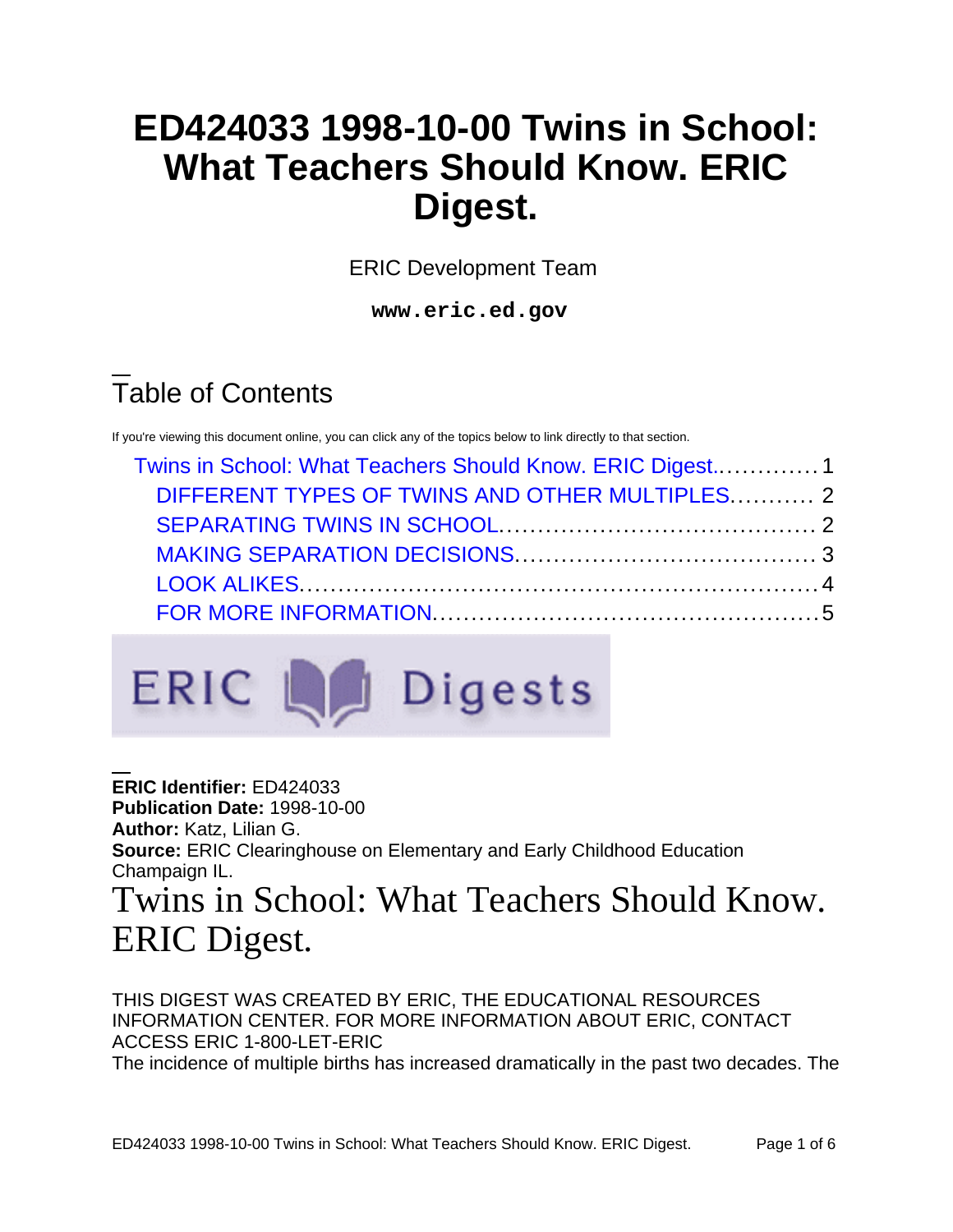# **ED424033 1998-10-00 Twins in School: What Teachers Should Know. ERIC Digest.**

ERIC Development Team

**www.eric.ed.gov**

# Table of Contents

If you're viewing this document online, you can click any of the topics below to link directly to that section.

| Twins in School: What Teachers Should Know. ERIC Digest 1<br>DIFFERENT TYPES OF TWINS AND OTHER MULTIPLES 2 |  |  |
|-------------------------------------------------------------------------------------------------------------|--|--|
|                                                                                                             |  |  |
|                                                                                                             |  |  |
|                                                                                                             |  |  |



**ERIC Identifier:** ED424033 **Publication Date:** 1998-10-00 **Author:** Katz, Lilian G. **Source:** ERIC Clearinghouse on Elementary and Early Childhood Education Champaign IL. Twins in School: What Teachers Should Know.

# <span id="page-0-0"></span>ERIC Digest.

THIS DIGEST WAS CREATED BY ERIC, THE EDUCATIONAL RESOURCES INFORMATION CENTER. FOR MORE INFORMATION ABOUT ERIC, CONTACT ACCESS ERIC 1-800-LET-ERIC The incidence of multiple births has increased dramatically in the past two decades. The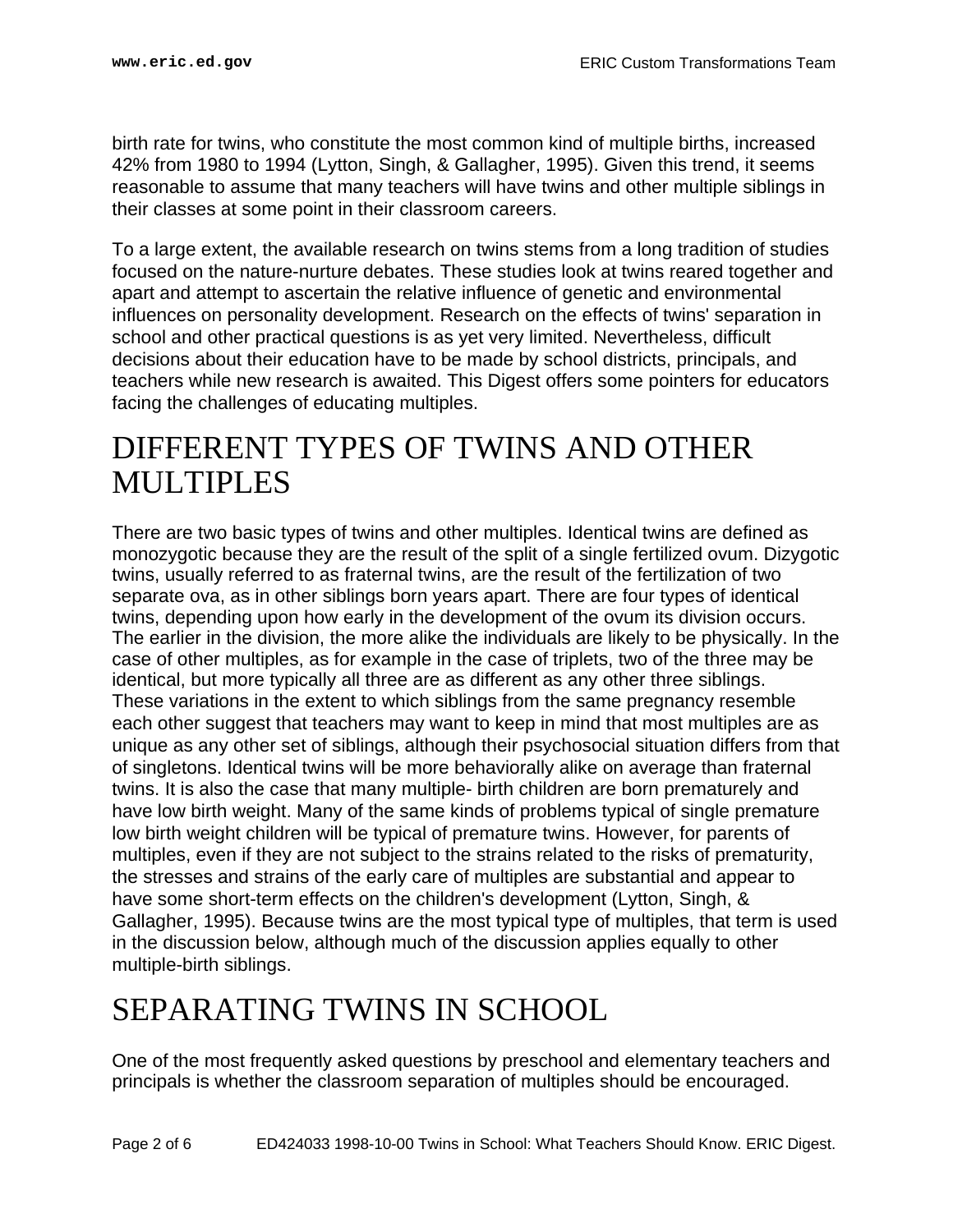birth rate for twins, who constitute the most common kind of multiple births, increased 42% from 1980 to 1994 (Lytton, Singh, & Gallagher, 1995). Given this trend, it seems reasonable to assume that many teachers will have twins and other multiple siblings in their classes at some point in their classroom careers.

To a large extent, the available research on twins stems from a long tradition of studies focused on the nature-nurture debates. These studies look at twins reared together and apart and attempt to ascertain the relative influence of genetic and environmental influences on personality development. Research on the effects of twins' separation in school and other practical questions is as yet very limited. Nevertheless, difficult decisions about their education have to be made by school districts, principals, and teachers while new research is awaited. This Digest offers some pointers for educators facing the challenges of educating multiples.

### <span id="page-1-0"></span>DIFFERENT TYPES OF TWINS AND OTHER MULTIPLES

There are two basic types of twins and other multiples. Identical twins are defined as monozygotic because they are the result of the split of a single fertilized ovum. Dizygotic twins, usually referred to as fraternal twins, are the result of the fertilization of two separate ova, as in other siblings born years apart. There are four types of identical twins, depending upon how early in the development of the ovum its division occurs. The earlier in the division, the more alike the individuals are likely to be physically. In the case of other multiples, as for example in the case of triplets, two of the three may be identical, but more typically all three are as different as any other three siblings. These variations in the extent to which siblings from the same pregnancy resemble each other suggest that teachers may want to keep in mind that most multiples are as unique as any other set of siblings, although their psychosocial situation differs from that of singletons. Identical twins will be more behaviorally alike on average than fraternal twins. It is also the case that many multiple- birth children are born prematurely and have low birth weight. Many of the same kinds of problems typical of single premature low birth weight children will be typical of premature twins. However, for parents of multiples, even if they are not subject to the strains related to the risks of prematurity, the stresses and strains of the early care of multiples are substantial and appear to have some short-term effects on the children's development (Lytton, Singh, & Gallagher, 1995). Because twins are the most typical type of multiples, that term is used in the discussion below, although much of the discussion applies equally to other multiple-birth siblings.

### <span id="page-1-1"></span>SEPARATING TWINS IN SCHOOL

One of the most frequently asked questions by preschool and elementary teachers and principals is whether the classroom separation of multiples should be encouraged.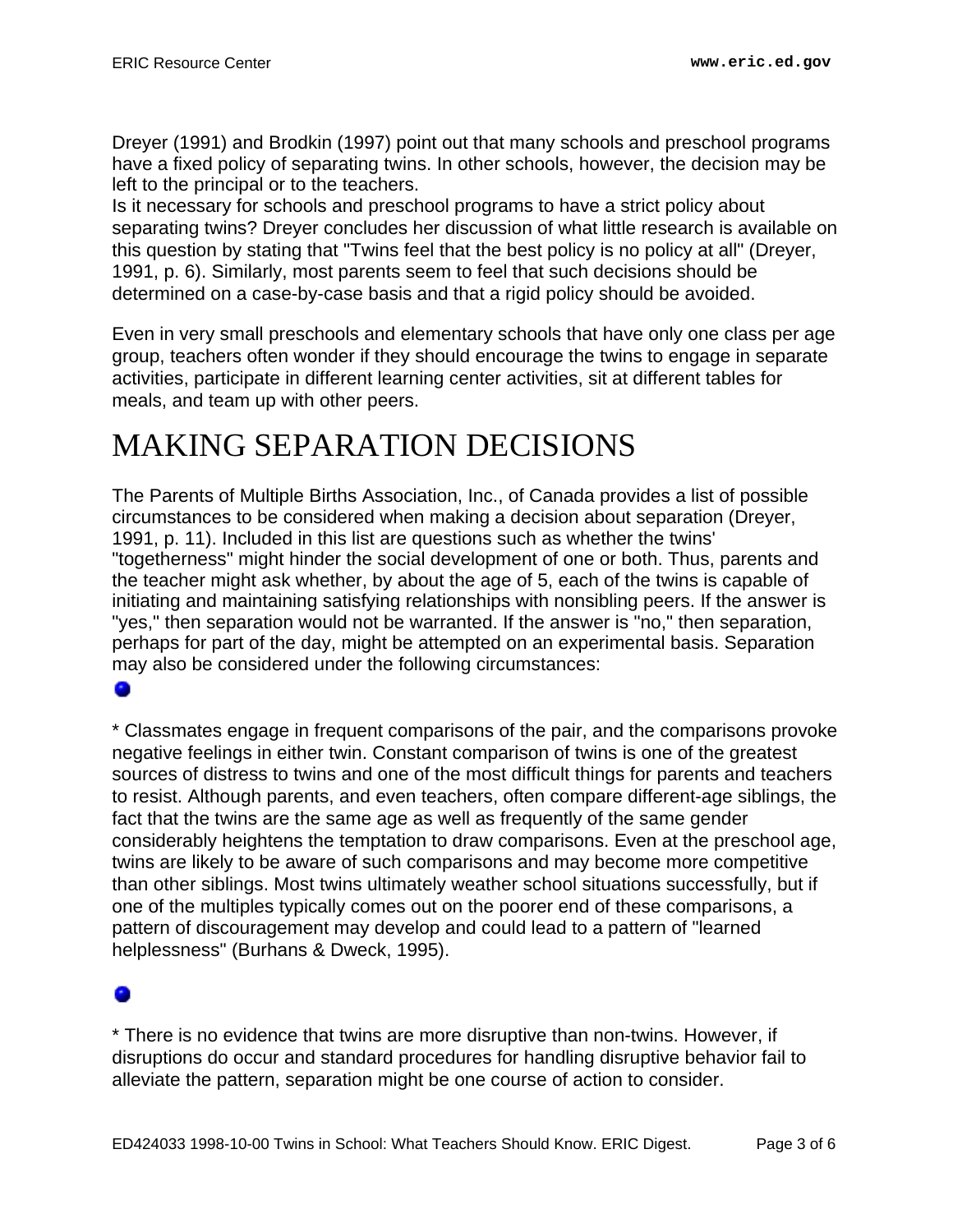Dreyer (1991) and Brodkin (1997) point out that many schools and preschool programs have a fixed policy of separating twins. In other schools, however, the decision may be left to the principal or to the teachers.

Is it necessary for schools and preschool programs to have a strict policy about separating twins? Dreyer concludes her discussion of what little research is available on this question by stating that "Twins feel that the best policy is no policy at all" (Dreyer, 1991, p. 6). Similarly, most parents seem to feel that such decisions should be determined on a case-by-case basis and that a rigid policy should be avoided.

Even in very small preschools and elementary schools that have only one class per age group, teachers often wonder if they should encourage the twins to engage in separate activities, participate in different learning center activities, sit at different tables for meals, and team up with other peers.

## <span id="page-2-0"></span>MAKING SEPARATION DECISIONS

The Parents of Multiple Births Association, Inc., of Canada provides a list of possible circumstances to be considered when making a decision about separation (Dreyer, 1991, p. 11). Included in this list are questions such as whether the twins' "togetherness" might hinder the social development of one or both. Thus, parents and the teacher might ask whether, by about the age of 5, each of the twins is capable of initiating and maintaining satisfying relationships with nonsibling peers. If the answer is "yes," then separation would not be warranted. If the answer is "no," then separation, perhaps for part of the day, might be attempted on an experimental basis. Separation may also be considered under the following circumstances:

### ۰

\* Classmates engage in frequent comparisons of the pair, and the comparisons provoke negative feelings in either twin. Constant comparison of twins is one of the greatest sources of distress to twins and one of the most difficult things for parents and teachers to resist. Although parents, and even teachers, often compare different-age siblings, the fact that the twins are the same age as well as frequently of the same gender considerably heightens the temptation to draw comparisons. Even at the preschool age, twins are likely to be aware of such comparisons and may become more competitive than other siblings. Most twins ultimately weather school situations successfully, but if one of the multiples typically comes out on the poorer end of these comparisons, a pattern of discouragement may develop and could lead to a pattern of "learned helplessness" (Burhans & Dweck, 1995).

### ٨

\* There is no evidence that twins are more disruptive than non-twins. However, if disruptions do occur and standard procedures for handling disruptive behavior fail to alleviate the pattern, separation might be one course of action to consider.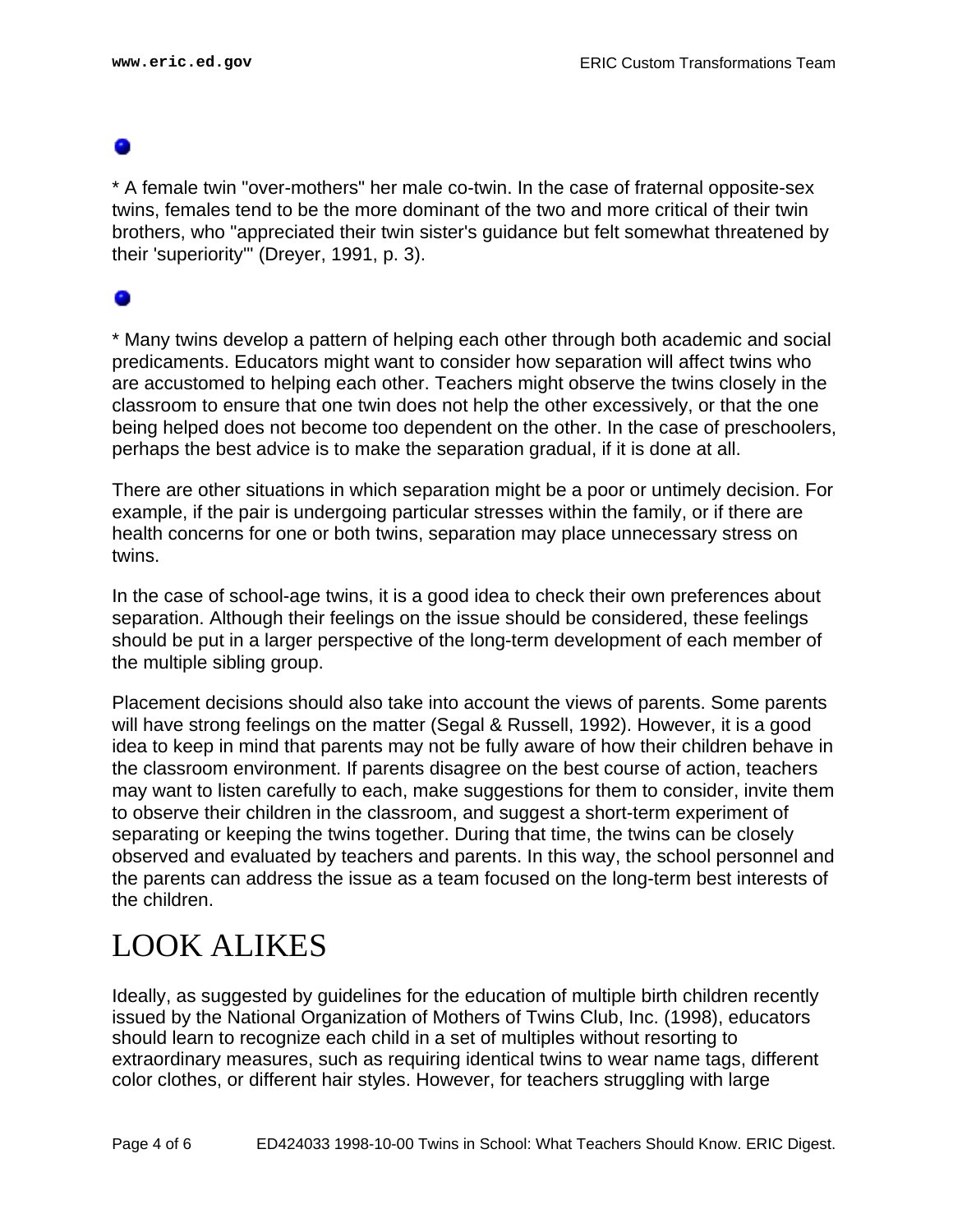\* A female twin "over-mothers" her male co-twin. In the case of fraternal opposite-sex twins, females tend to be the more dominant of the two and more critical of their twin brothers, who "appreciated their twin sister's guidance but felt somewhat threatened by their 'superiority'" (Dreyer, 1991, p. 3).

### 0

\* Many twins develop a pattern of helping each other through both academic and social predicaments. Educators might want to consider how separation will affect twins who are accustomed to helping each other. Teachers might observe the twins closely in the classroom to ensure that one twin does not help the other excessively, or that the one being helped does not become too dependent on the other. In the case of preschoolers, perhaps the best advice is to make the separation gradual, if it is done at all.

There are other situations in which separation might be a poor or untimely decision. For example, if the pair is undergoing particular stresses within the family, or if there are health concerns for one or both twins, separation may place unnecessary stress on twins.

In the case of school-age twins, it is a good idea to check their own preferences about separation. Although their feelings on the issue should be considered, these feelings should be put in a larger perspective of the long-term development of each member of the multiple sibling group.

Placement decisions should also take into account the views of parents. Some parents will have strong feelings on the matter (Segal & Russell, 1992). However, it is a good idea to keep in mind that parents may not be fully aware of how their children behave in the classroom environment. If parents disagree on the best course of action, teachers may want to listen carefully to each, make suggestions for them to consider, invite them to observe their children in the classroom, and suggest a short-term experiment of separating or keeping the twins together. During that time, the twins can be closely observed and evaluated by teachers and parents. In this way, the school personnel and the parents can address the issue as a team focused on the long-term best interests of the children.

### <span id="page-3-0"></span>LOOK ALIKES

Ideally, as suggested by guidelines for the education of multiple birth children recently issued by the National Organization of Mothers of Twins Club, Inc. (1998), educators should learn to recognize each child in a set of multiples without resorting to extraordinary measures, such as requiring identical twins to wear name tags, different color clothes, or different hair styles. However, for teachers struggling with large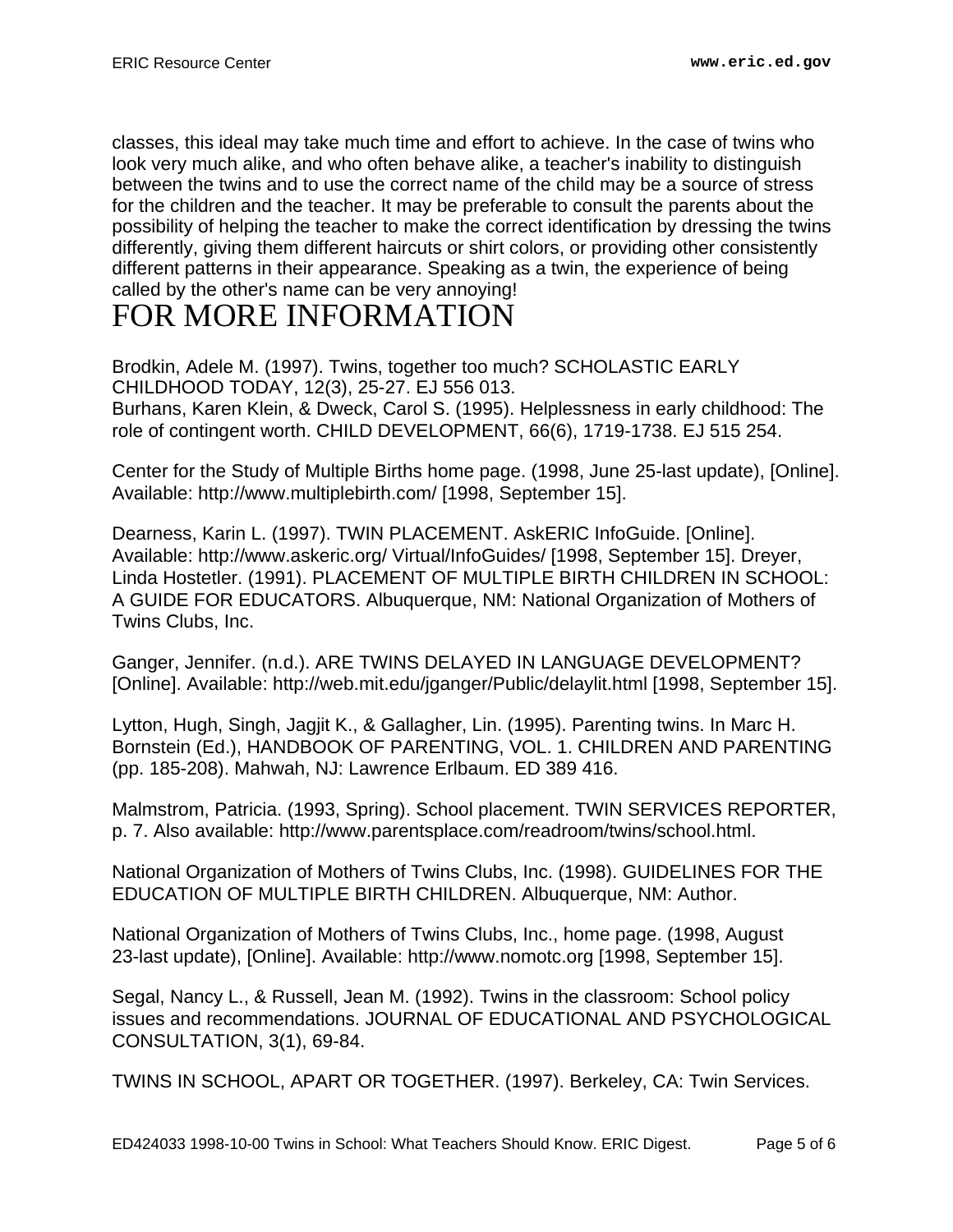classes, this ideal may take much time and effort to achieve. In the case of twins who look very much alike, and who often behave alike, a teacher's inability to distinguish between the twins and to use the correct name of the child may be a source of stress for the children and the teacher. It may be preferable to consult the parents about the possibility of helping the teacher to make the correct identification by dressing the twins differently, giving them different haircuts or shirt colors, or providing other consistently different patterns in their appearance. Speaking as a twin, the experience of being called by the other's name can be very annoying!

## <span id="page-4-0"></span>FOR MORE INFORMATION

Brodkin, Adele M. (1997). Twins, together too much? SCHOLASTIC EARLY CHILDHOOD TODAY, 12(3), 25-27. EJ 556 013. Burhans, Karen Klein, & Dweck, Carol S. (1995). Helplessness in early childhood: The role of contingent worth. CHILD DEVELOPMENT, 66(6), 1719-1738. EJ 515 254.

Center for the Study of Multiple Births home page. (1998, June 25-last update), [Online]. Available: http://www.multiplebirth.com/ [1998, September 15].

Dearness, Karin L. (1997). TWIN PLACEMENT. AskERIC InfoGuide. [Online]. Available: http://www.askeric.org/ Virtual/InfoGuides/ [1998, September 15]. Dreyer, Linda Hostetler. (1991). PLACEMENT OF MULTIPLE BIRTH CHILDREN IN SCHOOL: A GUIDE FOR EDUCATORS. Albuquerque, NM: National Organization of Mothers of Twins Clubs, Inc.

Ganger, Jennifer. (n.d.). ARE TWINS DELAYED IN LANGUAGE DEVELOPMENT? [Online]. Available: http://web.mit.edu/jganger/Public/delaylit.html [1998, September 15].

Lytton, Hugh, Singh, Jagjit K., & Gallagher, Lin. (1995). Parenting twins. In Marc H. Bornstein (Ed.), HANDBOOK OF PARENTING, VOL. 1. CHILDREN AND PARENTING (pp. 185-208). Mahwah, NJ: Lawrence Erlbaum. ED 389 416.

Malmstrom, Patricia. (1993, Spring). School placement. TWIN SERVICES REPORTER, p. 7. Also available: http://www.parentsplace.com/readroom/twins/school.html.

National Organization of Mothers of Twins Clubs, Inc. (1998). GUIDELINES FOR THE EDUCATION OF MULTIPLE BIRTH CHILDREN. Albuquerque, NM: Author.

National Organization of Mothers of Twins Clubs, Inc., home page. (1998, August 23-last update), [Online]. Available: http://www.nomotc.org [1998, September 15].

Segal, Nancy L., & Russell, Jean M. (1992). Twins in the classroom: School policy issues and recommendations. JOURNAL OF EDUCATIONAL AND PSYCHOLOGICAL CONSULTATION, 3(1), 69-84.

TWINS IN SCHOOL, APART OR TOGETHER. (1997). Berkeley, CA: Twin Services.